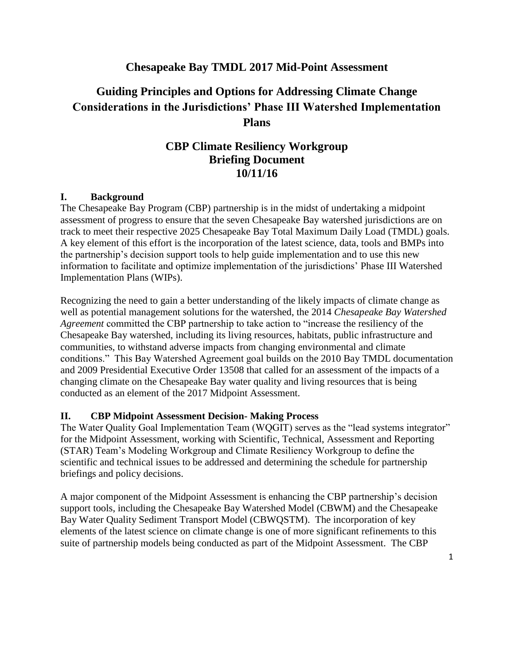## **Chesapeake Bay TMDL 2017 Mid-Point Assessment**

# **Guiding Principles and Options for Addressing Climate Change Considerations in the Jurisdictions' Phase III Watershed Implementation Plans**

## **CBP Climate Resiliency Workgroup Briefing Document 10/11/16**

#### **I. Background**

The Chesapeake Bay Program (CBP) partnership is in the midst of undertaking a midpoint assessment of progress to ensure that the seven Chesapeake Bay watershed jurisdictions are on track to meet their respective 2025 Chesapeake Bay Total Maximum Daily Load (TMDL) goals. A key element of this effort is the incorporation of the latest science, data, tools and BMPs into the partnership's decision support tools to help guide implementation and to use this new information to facilitate and optimize implementation of the jurisdictions' Phase III Watershed Implementation Plans (WIPs).

Recognizing the need to gain a better understanding of the likely impacts of climate change as well as potential management solutions for the watershed, the 2014 *Chesapeake Bay Watershed Agreement* committed the CBP partnership to take action to "increase the resiliency of the Chesapeake Bay watershed, including its living resources, habitats, public infrastructure and communities, to withstand adverse impacts from changing environmental and climate conditions." This Bay Watershed Agreement goal builds on the 2010 Bay TMDL documentation and 2009 Presidential Executive Order 13508 that called for an assessment of the impacts of a changing climate on the Chesapeake Bay water quality and living resources that is being conducted as an element of the 2017 Midpoint Assessment.

#### **II. CBP Midpoint Assessment Decision- Making Process**

The Water Quality Goal Implementation Team (WQGIT) serves as the "lead systems integrator" for the Midpoint Assessment, working with Scientific, Technical, Assessment and Reporting (STAR) Team's Modeling Workgroup and Climate Resiliency Workgroup to define the scientific and technical issues to be addressed and determining the schedule for partnership briefings and policy decisions.

A major component of the Midpoint Assessment is enhancing the CBP partnership's decision support tools, including the Chesapeake Bay Watershed Model (CBWM) and the Chesapeake Bay Water Quality Sediment Transport Model (CBWQSTM). The incorporation of key elements of the latest science on climate change is one of more significant refinements to this suite of partnership models being conducted as part of the Midpoint Assessment. The CBP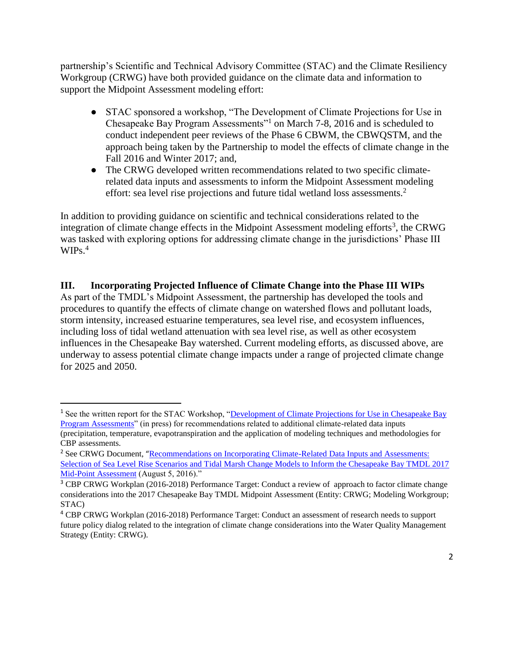partnership's Scientific and Technical Advisory Committee (STAC) and the Climate Resiliency Workgroup (CRWG) have both provided guidance on the climate data and information to support the Midpoint Assessment modeling effort:

- STAC sponsored a workshop, "The Development of Climate Projections for Use in Chesapeake Bay Program Assessments"<sup>1</sup> on March 7-8, 2016 and is scheduled to conduct independent peer reviews of the Phase 6 CBWM, the CBWQSTM, and the approach being taken by the Partnership to model the effects of climate change in the Fall 2016 and Winter 2017; and,
- The CRWG developed written recommendations related to two specific climaterelated data inputs and assessments to inform the Midpoint Assessment modeling effort: sea level rise projections and future tidal wetland loss assessments.<sup>2</sup>

In addition to providing guidance on scientific and technical considerations related to the integration of climate change effects in the Midpoint Assessment modeling efforts<sup>3</sup>, the CRWG was tasked with exploring options for addressing climate change in the jurisdictions' Phase III  $WIPs.<sup>4</sup>$ 

**III. Incorporating Projected Influence of Climate Change into the Phase III WIPs** As part of the TMDL's Midpoint Assessment, the partnership has developed the tools and procedures to quantify the effects of climate change on watershed flows and pollutant loads, storm intensity, increased estuarine temperatures, sea level rise, and ecosystem influences, including loss of tidal wetland attenuation with sea level rise, as well as other ecosystem influences in the Chesapeake Bay watershed. Current modeling efforts, as discussed above, are underway to assess potential climate change impacts under a range of projected climate change for 2025 and 2050.

 $\overline{\phantom{a}}$ 

<sup>&</sup>lt;sup>1</sup> See the written report for the STAC Workshop, "Development of Climate Projections for Use in Chesapeake Bay [Program Assessments"](http://www.chesapeake.org/stac/workshop.php?activity_id=258) (in press) for recommendations related to additional climate-related data inputs (precipitation, temperature, evapotranspiration and the application of modeling techniques and methodologies for CBP assessments.

<sup>&</sup>lt;sup>2</sup> See CRWG Document, "Recommendations on Incorporating Climate-Related Data Inputs and Assessments: [Selection of Sea Level Rise Scenarios and Tidal Marsh Change Models to Inform the Chesapeake Bay TMDL 2017](http://www.chesapeakebay.net/channel_files/24216/crwg_mid_point_assessment_climate_data_recommendations_final_080516.pdf)  [Mid-Point Assessment](http://www.chesapeakebay.net/channel_files/24216/crwg_mid_point_assessment_climate_data_recommendations_final_080516.pdf) (August 5, 2016)."

<sup>&</sup>lt;sup>3</sup> CBP CRWG Workplan (2016-2018) Performance Target: Conduct a review of approach to factor climate change considerations into the 2017 Chesapeake Bay TMDL Midpoint Assessment (Entity: CRWG; Modeling Workgroup; STAC)

<sup>4</sup> CBP CRWG Workplan (2016-2018) Performance Target: Conduct an assessment of research needs to support future policy dialog related to the integration of climate change considerations into the Water Quality Management Strategy (Entity: CRWG).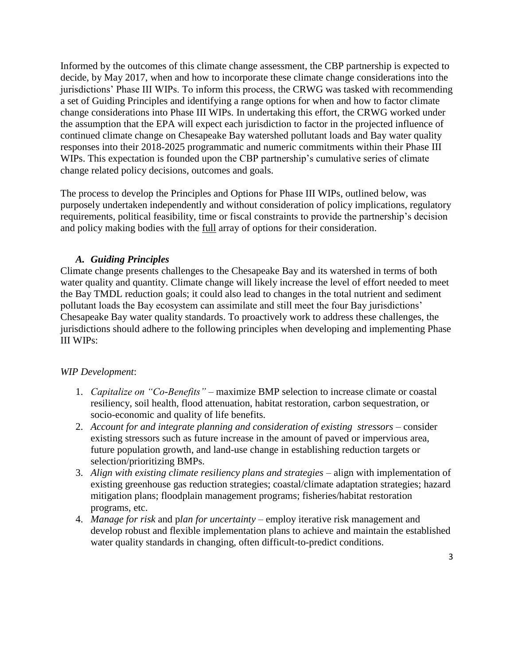Informed by the outcomes of this climate change assessment, the CBP partnership is expected to decide, by May 2017, when and how to incorporate these climate change considerations into the jurisdictions' Phase III WIPs. To inform this process, the CRWG was tasked with recommending a set of Guiding Principles and identifying a range options for when and how to factor climate change considerations into Phase III WIPs. In undertaking this effort, the CRWG worked under the assumption that the EPA will expect each jurisdiction to factor in the projected influence of continued climate change on Chesapeake Bay watershed pollutant loads and Bay water quality responses into their 2018-2025 programmatic and numeric commitments within their Phase III WIPs. This expectation is founded upon the CBP partnership's cumulative series of climate change related policy decisions, outcomes and goals.

The process to develop the Principles and Options for Phase III WIPs, outlined below, was purposely undertaken independently and without consideration of policy implications, regulatory requirements, political feasibility, time or fiscal constraints to provide the partnership's decision and policy making bodies with the full array of options for their consideration.

## *A. Guiding Principles*

Climate change presents challenges to the Chesapeake Bay and its watershed in terms of both water quality and quantity. Climate change will likely increase the level of effort needed to meet the Bay TMDL reduction goals; it could also lead to changes in the total nutrient and sediment pollutant loads the Bay ecosystem can assimilate and still meet the four Bay jurisdictions' Chesapeake Bay water quality standards. To proactively work to address these challenges, the jurisdictions should adhere to the following principles when developing and implementing Phase III WIPs:

#### *WIP Development*:

- 1. *Capitalize on "Co-Benefits"* maximize BMP selection to increase climate or coastal resiliency, soil health, flood attenuation, habitat restoration, carbon sequestration, or socio-economic and quality of life benefits.
- 2. *Account for and integrate planning and consideration of existing stressors* consider existing stressors such as future increase in the amount of paved or impervious area, future population growth, and land-use change in establishing reduction targets or selection/prioritizing BMPs.
- 3. *Align with existing climate resiliency plans and strategies* align with implementation of existing greenhouse gas reduction strategies; coastal/climate adaptation strategies; hazard mitigation plans; floodplain management programs; fisheries/habitat restoration programs, etc.
- 4. *Manage for risk* and p*lan for uncertainty* employ iterative risk management and develop robust and flexible implementation plans to achieve and maintain the established water quality standards in changing, often difficult-to-predict conditions.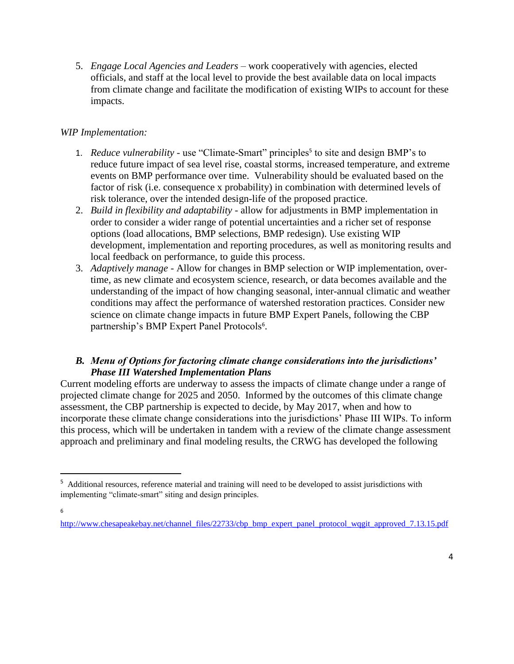5. *Engage Local Agencies and Leaders* – work cooperatively with agencies, elected officials, and staff at the local level to provide the best available data on local impacts from climate change and facilitate the modification of existing WIPs to account for these impacts.

## *WIP Implementation:*

- 1. *Reduce vulnerability* use "Climate-Smart" principles<sup>5</sup> to site and design BMP's to reduce future impact of sea level rise, coastal storms, increased temperature, and extreme events on BMP performance over time. Vulnerability should be evaluated based on the factor of risk (i.e. consequence x probability) in combination with determined levels of risk tolerance, over the intended design-life of the proposed practice.
- 2. *Build in flexibility and adaptability* allow for adjustments in BMP implementation in order to consider a wider range of potential uncertainties and a richer set of response options (load allocations, BMP selections, BMP redesign). Use existing WIP development, implementation and reporting procedures, as well as monitoring results and local feedback on performance, to guide this process.
- 3. *Adaptively manage* Allow for changes in BMP selection or WIP implementation, overtime, as new climate and ecosystem science, research, or data becomes available and the understanding of the impact of how changing seasonal, inter-annual climatic and weather conditions may affect the performance of watershed restoration practices. Consider new science on climate change impacts in future BMP Expert Panels, following the CBP partnership's BMP Expert Panel Protocols<sup>6</sup>.

## *B. Menu of Options for factoring climate change considerations into the jurisdictions' Phase III Watershed Implementation Plans*

Current modeling efforts are underway to assess the impacts of climate change under a range of projected climate change for 2025 and 2050. Informed by the outcomes of this climate change assessment, the CBP partnership is expected to decide, by May 2017, when and how to incorporate these climate change considerations into the jurisdictions' Phase III WIPs. To inform this process, which will be undertaken in tandem with a review of the climate change assessment approach and preliminary and final modeling results, the CRWG has developed the following

 $\overline{\phantom{a}}$ 

<sup>&</sup>lt;sup>5</sup> Additional resources, reference material and training will need to be developed to assist jurisdictions with implementing "climate-smart" siting and design principles.

<sup>6</sup>

http://www.chesapeakebay.net/channel\_files/22733/cbp\_bmp\_expert\_panel\_protocol\_wqgit\_approved\_7.13.15.pdf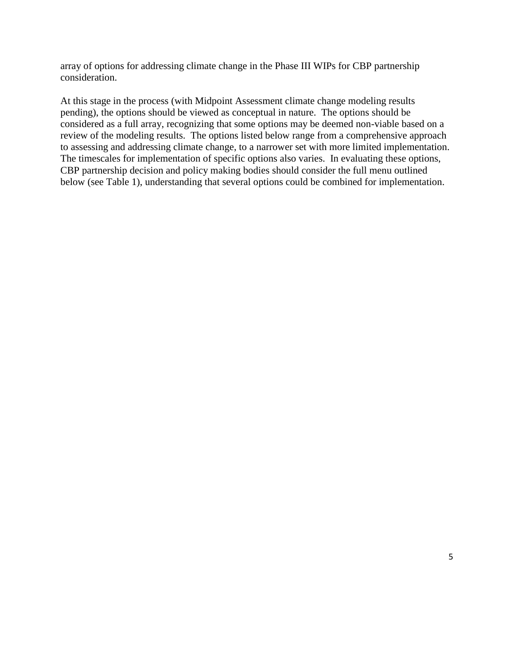array of options for addressing climate change in the Phase III WIPs for CBP partnership consideration.

At this stage in the process (with Midpoint Assessment climate change modeling results pending), the options should be viewed as conceptual in nature. The options should be considered as a full array, recognizing that some options may be deemed non-viable based on a review of the modeling results. The options listed below range from a comprehensive approach to assessing and addressing climate change, to a narrower set with more limited implementation. The timescales for implementation of specific options also varies. In evaluating these options, CBP partnership decision and policy making bodies should consider the full menu outlined below (see Table 1), understanding that several options could be combined for implementation.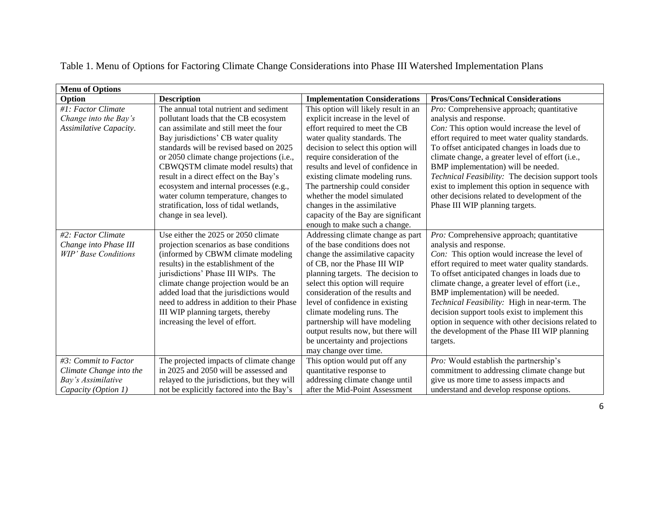| <b>Menu of Options</b>      |                                             |                                      |                                                    |
|-----------------------------|---------------------------------------------|--------------------------------------|----------------------------------------------------|
| Option                      | <b>Description</b>                          | <b>Implementation Considerations</b> | <b>Pros/Cons/Technical Considerations</b>          |
| #1: Factor Climate          | The annual total nutrient and sediment      | This option will likely result in an | Pro: Comprehensive approach; quantitative          |
| Change into the Bay's       | pollutant loads that the CB ecosystem       | explicit increase in the level of    | analysis and response.                             |
| Assimilative Capacity.      | can assimilate and still meet the four      | effort required to meet the CB       | Con: This option would increase the level of       |
|                             | Bay jurisdictions' CB water quality         | water quality standards. The         | effort required to meet water quality standards.   |
|                             | standards will be revised based on 2025     | decision to select this option will  | To offset anticipated changes in loads due to      |
|                             | or 2050 climate change projections (i.e.,   | require consideration of the         | climate change, a greater level of effort (i.e.,   |
|                             | CBWQSTM climate model results) that         | results and level of confidence in   | BMP implementation) will be needed.                |
|                             | result in a direct effect on the Bay's      | existing climate modeling runs.      | Technical Feasibility: The decision support tools  |
|                             | ecosystem and internal processes (e.g.,     | The partnership could consider       | exist to implement this option in sequence with    |
|                             | water column temperature, changes to        | whether the model simulated          | other decisions related to development of the      |
|                             | stratification, loss of tidal wetlands,     | changes in the assimilative          | Phase III WIP planning targets.                    |
|                             | change in sea level).                       | capacity of the Bay are significant  |                                                    |
|                             |                                             | enough to make such a change.        |                                                    |
| #2: Factor Climate          | Use either the 2025 or 2050 climate         | Addressing climate change as part    | <i>Pro:</i> Comprehensive approach; quantitative   |
| Change into Phase III       | projection scenarios as base conditions     | of the base conditions does not      | analysis and response.                             |
| <b>WIP' Base Conditions</b> | (informed by CBWM climate modeling)         | change the assimilative capacity     | Con: This option would increase the level of       |
|                             | results) in the establishment of the        | of CB, nor the Phase III WIP         | effort required to meet water quality standards.   |
|                             | jurisdictions' Phase III WIPs. The          | planning targets. The decision to    | To offset anticipated changes in loads due to      |
|                             | climate change projection would be an       | select this option will require      | climate change, a greater level of effort (i.e.,   |
|                             | added load that the jurisdictions would     | consideration of the results and     | BMP implementation) will be needed.                |
|                             | need to address in addition to their Phase  | level of confidence in existing      | Technical Feasibility: High in near-term. The      |
|                             | III WIP planning targets, thereby           | climate modeling runs. The           | decision support tools exist to implement this     |
|                             | increasing the level of effort.             | partnership will have modeling       | option in sequence with other decisions related to |
|                             |                                             | output results now, but there will   | the development of the Phase III WIP planning      |
|                             |                                             | be uncertainty and projections       | targets.                                           |
|                             |                                             | may change over time.                |                                                    |
| #3: Commit to Factor        | The projected impacts of climate change     | This option would put off any        | <i>Pro:</i> Would establish the partnership's      |
| Climate Change into the     | in 2025 and 2050 will be assessed and       | quantitative response to             | commitment to addressing climate change but        |
| Bay's Assimilative          | relayed to the jurisdictions, but they will | addressing climate change until      | give us more time to assess impacts and            |
| Capacity (Option 1)         | not be explicitly factored into the Bay's   | after the Mid-Point Assessment       | understand and develop response options.           |

Table 1. Menu of Options for Factoring Climate Change Considerations into Phase III Watershed Implementation Plans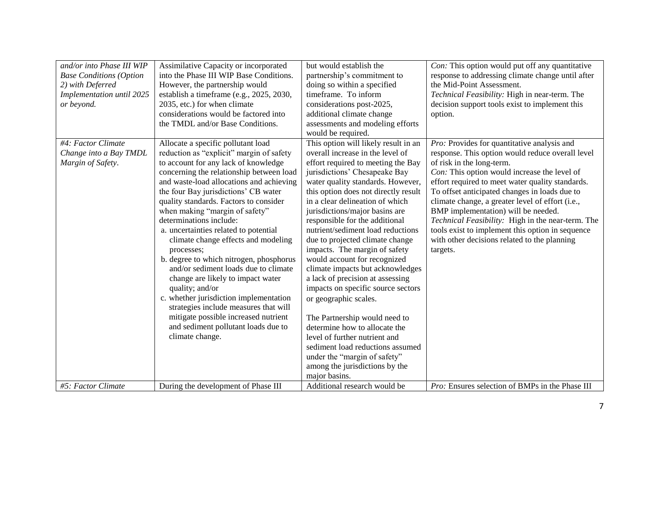| and/or into Phase III WIP<br><b>Base Conditions (Option</b><br>2) with Deferred<br><b>Implementation until 2025</b><br>or beyond. | Assimilative Capacity or incorporated<br>into the Phase III WIP Base Conditions.<br>However, the partnership would<br>establish a timeframe (e.g., 2025, 2030,<br>2035, etc.) for when climate<br>considerations would be factored into<br>the TMDL and/or Base Conditions.                                                                                                                                                                                                                                                                                                                                                                                                                                                                                                                 | but would establish the<br>partnership's commitment to<br>doing so within a specified<br>timeframe. To inform<br>considerations post-2025,<br>additional climate change<br>assessments and modeling efforts<br>would be required.                                                                                                                                                                                                                                                                                                                                                                                                                                                                                                                                                                                                             | Con: This option would put off any quantitative<br>response to addressing climate change until after<br>the Mid-Point Assessment.<br>Technical Feasibility: High in near-term. The<br>decision support tools exist to implement this<br>option.                                                                                                                                                                                                                                                                                                   |
|-----------------------------------------------------------------------------------------------------------------------------------|---------------------------------------------------------------------------------------------------------------------------------------------------------------------------------------------------------------------------------------------------------------------------------------------------------------------------------------------------------------------------------------------------------------------------------------------------------------------------------------------------------------------------------------------------------------------------------------------------------------------------------------------------------------------------------------------------------------------------------------------------------------------------------------------|-----------------------------------------------------------------------------------------------------------------------------------------------------------------------------------------------------------------------------------------------------------------------------------------------------------------------------------------------------------------------------------------------------------------------------------------------------------------------------------------------------------------------------------------------------------------------------------------------------------------------------------------------------------------------------------------------------------------------------------------------------------------------------------------------------------------------------------------------|---------------------------------------------------------------------------------------------------------------------------------------------------------------------------------------------------------------------------------------------------------------------------------------------------------------------------------------------------------------------------------------------------------------------------------------------------------------------------------------------------------------------------------------------------|
| #4: Factor Climate<br>Change into a Bay TMDL<br>Margin of Safety.                                                                 | Allocate a specific pollutant load<br>reduction as "explicit" margin of safety<br>to account for any lack of knowledge<br>concerning the relationship between load<br>and waste-load allocations and achieving<br>the four Bay jurisdictions' CB water<br>quality standards. Factors to consider<br>when making "margin of safety"<br>determinations include:<br>a. uncertainties related to potential<br>climate change effects and modeling<br>processes;<br>b. degree to which nitrogen, phosphorus<br>and/or sediment loads due to climate<br>change are likely to impact water<br>quality; and/or<br>c. whether jurisdiction implementation<br>strategies include measures that will<br>mitigate possible increased nutrient<br>and sediment pollutant loads due to<br>climate change. | This option will likely result in an<br>overall increase in the level of<br>effort required to meeting the Bay<br>jurisdictions' Chesapeake Bay<br>water quality standards. However,<br>this option does not directly result<br>in a clear delineation of which<br>jurisdictions/major basins are<br>responsible for the additional<br>nutrient/sediment load reductions<br>due to projected climate change<br>impacts. The margin of safety<br>would account for recognized<br>climate impacts but acknowledges<br>a lack of precision at assessing<br>impacts on specific source sectors<br>or geographic scales.<br>The Partnership would need to<br>determine how to allocate the<br>level of further nutrient and<br>sediment load reductions assumed<br>under the "margin of safety"<br>among the jurisdictions by the<br>major basins. | Pro: Provides for quantitative analysis and<br>response. This option would reduce overall level<br>of risk in the long-term.<br>Con: This option would increase the level of<br>effort required to meet water quality standards.<br>To offset anticipated changes in loads due to<br>climate change, a greater level of effort (i.e.,<br>BMP implementation) will be needed.<br>Technical Feasibility: High in the near-term. The<br>tools exist to implement this option in sequence<br>with other decisions related to the planning<br>targets. |
| #5: Factor Climate                                                                                                                | During the development of Phase III                                                                                                                                                                                                                                                                                                                                                                                                                                                                                                                                                                                                                                                                                                                                                         | Additional research would be                                                                                                                                                                                                                                                                                                                                                                                                                                                                                                                                                                                                                                                                                                                                                                                                                  | <i>Pro:</i> Ensures selection of BMPs in the Phase III                                                                                                                                                                                                                                                                                                                                                                                                                                                                                            |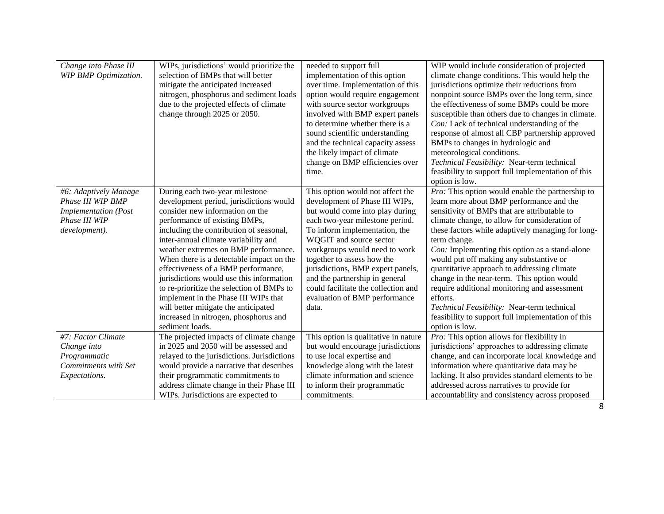| Change into Phase III<br><b>WIP BMP Optimization.</b>                                                       | WIPs, jurisdictions' would prioritize the<br>selection of BMPs that will better<br>mitigate the anticipated increased<br>nitrogen, phosphorus and sediment loads<br>due to the projected effects of climate<br>change through 2025 or 2050.                                                                                                                                                                                                                                                                                                                                                      | needed to support full<br>implementation of this option<br>over time. Implementation of this<br>option would require engagement<br>with source sector workgroups<br>involved with BMP expert panels<br>to determine whether there is a<br>sound scientific understanding<br>and the technical capacity assess<br>the likely impact of climate<br>change on BMP efficiencies over<br>time.                                   | WIP would include consideration of projected<br>climate change conditions. This would help the<br>jurisdictions optimize their reductions from<br>nonpoint source BMPs over the long term, since<br>the effectiveness of some BMPs could be more<br>susceptible than others due to changes in climate.<br>Con: Lack of technical understanding of the<br>response of almost all CBP partnership approved<br>BMPs to changes in hydrologic and<br>meteorological conditions.<br>Technical Feasibility: Near-term technical<br>feasibility to support full implementation of this                                                                                  |
|-------------------------------------------------------------------------------------------------------------|--------------------------------------------------------------------------------------------------------------------------------------------------------------------------------------------------------------------------------------------------------------------------------------------------------------------------------------------------------------------------------------------------------------------------------------------------------------------------------------------------------------------------------------------------------------------------------------------------|-----------------------------------------------------------------------------------------------------------------------------------------------------------------------------------------------------------------------------------------------------------------------------------------------------------------------------------------------------------------------------------------------------------------------------|------------------------------------------------------------------------------------------------------------------------------------------------------------------------------------------------------------------------------------------------------------------------------------------------------------------------------------------------------------------------------------------------------------------------------------------------------------------------------------------------------------------------------------------------------------------------------------------------------------------------------------------------------------------|
| #6: Adaptively Manage<br>Phase III WIP BMP<br><b>Implementation</b> (Post<br>Phase III WIP<br>development). | During each two-year milestone<br>development period, jurisdictions would<br>consider new information on the<br>performance of existing BMPs,<br>including the contribution of seasonal,<br>inter-annual climate variability and<br>weather extremes on BMP performance.<br>When there is a detectable impact on the<br>effectiveness of a BMP performance,<br>jurisdictions would use this information<br>to re-prioritize the selection of BMPs to<br>implement in the Phase III WIPs that<br>will better mitigate the anticipated<br>increased in nitrogen, phosphorus and<br>sediment loads. | This option would not affect the<br>development of Phase III WIPs,<br>but would come into play during<br>each two-year milestone period.<br>To inform implementation, the<br>WQGIT and source sector<br>workgroups would need to work<br>together to assess how the<br>jurisdictions, BMP expert panels,<br>and the partnership in general<br>could facilitate the collection and<br>evaluation of BMP performance<br>data. | option is low.<br>Pro: This option would enable the partnership to<br>learn more about BMP performance and the<br>sensitivity of BMPs that are attributable to<br>climate change, to allow for consideration of<br>these factors while adaptively managing for long-<br>term change.<br>Con: Implementing this option as a stand-alone<br>would put off making any substantive or<br>quantitative approach to addressing climate<br>change in the near-term. This option would<br>require additional monitoring and assessment<br>efforts.<br>Technical Feasibility: Near-term technical<br>feasibility to support full implementation of this<br>option is low. |
| #7: Factor Climate<br>Change into<br>Programmatic<br>Commitments with Set<br>Expectations.                  | The projected impacts of climate change<br>in 2025 and 2050 will be assessed and<br>relayed to the jurisdictions. Jurisdictions<br>would provide a narrative that describes<br>their programmatic commitments to<br>address climate change in their Phase III<br>WIPs. Jurisdictions are expected to                                                                                                                                                                                                                                                                                             | This option is qualitative in nature<br>but would encourage jurisdictions<br>to use local expertise and<br>knowledge along with the latest<br>climate information and science<br>to inform their programmatic<br>commitments.                                                                                                                                                                                               | Pro: This option allows for flexibility in<br>jurisdictions' approaches to addressing climate<br>change, and can incorporate local knowledge and<br>information where quantitative data may be<br>lacking. It also provides standard elements to be<br>addressed across narratives to provide for<br>accountability and consistency across proposed                                                                                                                                                                                                                                                                                                              |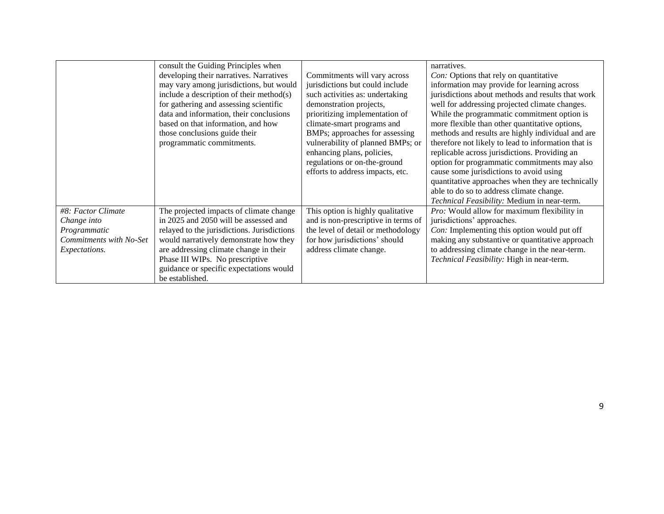|                         | consult the Guiding Principles when         |                                     | narratives.                                         |
|-------------------------|---------------------------------------------|-------------------------------------|-----------------------------------------------------|
|                         | developing their narratives. Narratives     | Commitments will vary across        | Con: Options that rely on quantitative              |
|                         | may vary among jurisdictions, but would     | jurisdictions but could include     | information may provide for learning across         |
|                         | include a description of their method $(s)$ | such activities as: undertaking     | jurisdictions about methods and results that work   |
|                         | for gathering and assessing scientific      | demonstration projects,             | well for addressing projected climate changes.      |
|                         | data and information, their conclusions     | prioritizing implementation of      | While the programmatic commitment option is         |
|                         | based on that information, and how          | climate-smart programs and          | more flexible than other quantitative options,      |
|                         | those conclusions guide their               | BMPs; approaches for assessing      | methods and results are highly individual and are   |
|                         | programmatic commitments.                   | vulnerability of planned BMPs; or   | therefore not likely to lead to information that is |
|                         |                                             | enhancing plans, policies,          | replicable across jurisdictions. Providing an       |
|                         |                                             | regulations or on-the-ground        | option for programmatic commitments may also        |
|                         |                                             | efforts to address impacts, etc.    | cause some jurisdictions to avoid using             |
|                         |                                             |                                     | quantitative approaches when they are technically   |
|                         |                                             |                                     | able to do so to address climate change.            |
|                         |                                             |                                     | Technical Feasibility: Medium in near-term.         |
| #8: Factor Climate      | The projected impacts of climate change     | This option is highly qualitative   | <i>Pro:</i> Would allow for maximum flexibility in  |
| Change into             | in 2025 and 2050 will be assessed and       | and is non-prescriptive in terms of | jurisdictions' approaches.                          |
| Programmatic            | relayed to the jurisdictions. Jurisdictions | the level of detail or methodology  | Con: Implementing this option would put off         |
| Commitments with No-Set | would narratively demonstrate how they      | for how jurisdictions' should       | making any substantive or quantitative approach     |
| Expectations.           | are addressing climate change in their      | address climate change.             | to addressing climate change in the near-term.      |
|                         | Phase III WIPs. No prescriptive             |                                     | Technical Feasibility: High in near-term.           |
|                         | guidance or specific expectations would     |                                     |                                                     |
|                         | be established.                             |                                     |                                                     |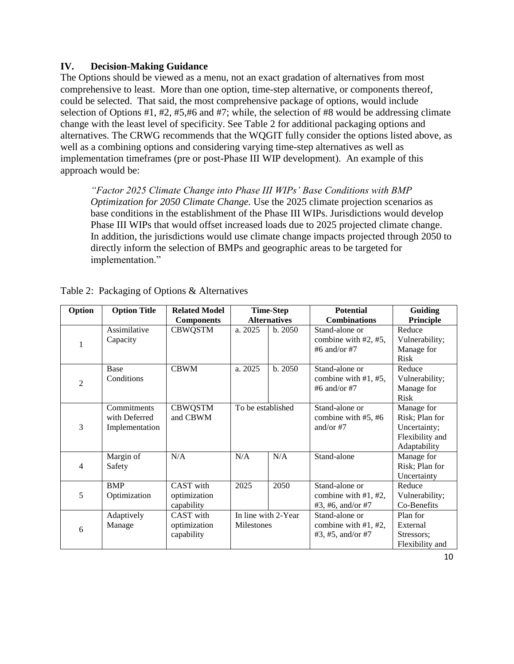#### **IV. Decision-Making Guidance**

The Options should be viewed as a menu, not an exact gradation of alternatives from most comprehensive to least. More than one option, time-step alternative, or components thereof, could be selected. That said, the most comprehensive package of options, would include selection of Options #1, #2, #5,#6 and #7; while, the selection of #8 would be addressing climate change with the least level of specificity. See Table 2 for additional packaging options and alternatives. The CRWG recommends that the WQGIT fully consider the options listed above, as well as a combining options and considering varying time-step alternatives as well as implementation timeframes (pre or post-Phase III WIP development). An example of this approach would be:

*"Factor 2025 Climate Change into Phase III WIPs' Base Conditions with BMP Optimization for 2050 Climate Change.* Use the 2025 climate projection scenarios as base conditions in the establishment of the Phase III WIPs. Jurisdictions would develop Phase III WIPs that would offset increased loads due to 2025 projected climate change. In addition, the jurisdictions would use climate change impacts projected through 2050 to directly inform the selection of BMPs and geographic areas to be targeted for implementation."

| Option         | <b>Option Title</b>                            | <b>Related Model</b>                    | <b>Time-Step</b>    |                     | <b>Potential</b>                                               | Guiding                                                                         |
|----------------|------------------------------------------------|-----------------------------------------|---------------------|---------------------|----------------------------------------------------------------|---------------------------------------------------------------------------------|
|                |                                                | <b>Components</b>                       | <b>Alternatives</b> |                     | <b>Combinations</b>                                            | Principle                                                                       |
| 1              | Assimilative<br>Capacity                       | <b>CBWQSTM</b>                          | a. 2025             | b. 2050             | Stand-alone or<br>combine with #2, #5,<br>#6 and/or #7         | Reduce<br>Vulnerability;<br>Manage for<br><b>Risk</b>                           |
| $\overline{2}$ | Base<br>Conditions                             | <b>CBWM</b>                             | a. 2025             | b.2050              | Stand-alone or<br>combine with $#1, #5,$<br>#6 and/or #7       | Reduce<br>Vulnerability;<br>Manage for<br><b>Risk</b>                           |
| 3              | Commitments<br>with Deferred<br>Implementation | <b>CBWQSTM</b><br>and CBWM              | To be established   |                     | Stand-alone or<br>combine with $#5, #6$<br>and/or $#7$         | Manage for<br>Risk; Plan for<br>Uncertainty;<br>Flexibility and<br>Adaptability |
| $\overline{4}$ | Margin of<br>Safety                            | N/A                                     | N/A                 | N/A                 | Stand-alone                                                    | Manage for<br>Risk; Plan for<br>Uncertainty                                     |
| 5              | <b>BMP</b><br>Optimization                     | CAST with<br>optimization<br>capability | 2025                | 2050                | Stand-alone or<br>combine with $#1, #2$ ,<br>#3, #6, and/or #7 | Reduce<br>Vulnerability;<br>Co-Benefits                                         |
| 6              | Adaptively<br>Manage                           | CAST with<br>optimization<br>capability | Milestones          | In line with 2-Year | Stand-alone or<br>combine with $#1, #2,$<br>#3, #5, and/or #7  | Plan for<br>External<br>Stressors;<br>Flexibility and                           |

|  |  |  |  | Table 2: Packaging of Options & Alternatives |
|--|--|--|--|----------------------------------------------|
|--|--|--|--|----------------------------------------------|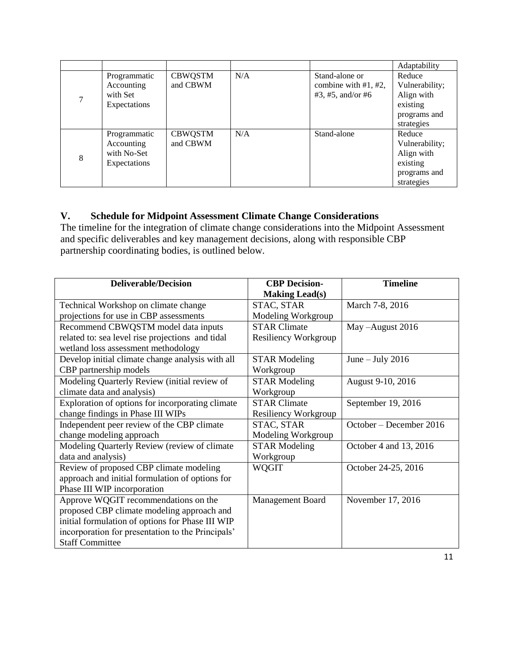|   |                                                           |                            |     |                                                               | Adaptability                                                                     |
|---|-----------------------------------------------------------|----------------------------|-----|---------------------------------------------------------------|----------------------------------------------------------------------------------|
|   | Programmatic<br>Accounting<br>with Set<br>Expectations    | <b>CBWQSTM</b><br>and CBWM | N/A | Stand-alone or<br>combine with $#1, #2,$<br>#3, #5, and/or #6 | Reduce<br>Vulnerability;<br>Align with<br>existing<br>programs and<br>strategies |
| 8 | Programmatic<br>Accounting<br>with No-Set<br>Expectations | <b>CBWQSTM</b><br>and CBWM | N/A | Stand-alone                                                   | Reduce<br>Vulnerability;<br>Align with<br>existing<br>programs and<br>strategies |

## **V. Schedule for Midpoint Assessment Climate Change Considerations**

The timeline for the integration of climate change considerations into the Midpoint Assessment and specific deliverables and key management decisions, along with responsible CBP partnership coordinating bodies, is outlined below.

| <b>Deliverable/Decision</b>                       | <b>CBP</b> Decision-        | <b>Timeline</b>         |
|---------------------------------------------------|-----------------------------|-------------------------|
|                                                   | <b>Making Lead(s)</b>       |                         |
| Technical Workshop on climate change              | STAC, STAR                  | March 7-8, 2016         |
| projections for use in CBP assessments            | Modeling Workgroup          |                         |
| Recommend CBWQSTM model data inputs               | <b>STAR Climate</b>         | May-August 2016         |
| related to: sea level rise projections and tidal  | <b>Resiliency Workgroup</b> |                         |
| wetland loss assessment methodology               |                             |                         |
| Develop initial climate change analysis with all  | <b>STAR Modeling</b>        | June $-$ July 2016      |
| CBP partnership models                            | Workgroup                   |                         |
| Modeling Quarterly Review (initial review of      | <b>STAR Modeling</b>        | August 9-10, 2016       |
| climate data and analysis)                        | Workgroup                   |                         |
| Exploration of options for incorporating climate  | <b>STAR Climate</b>         | September 19, 2016      |
| change findings in Phase III WIPs                 | Resiliency Workgroup        |                         |
| Independent peer review of the CBP climate        | STAC, STAR                  | October – December 2016 |
| change modeling approach                          | Modeling Workgroup          |                         |
| Modeling Quarterly Review (review of climate      | <b>STAR Modeling</b>        | October 4 and 13, 2016  |
| data and analysis)                                | Workgroup                   |                         |
| Review of proposed CBP climate modeling           | <b>WQGIT</b>                | October 24-25, 2016     |
| approach and initial formulation of options for   |                             |                         |
| Phase III WIP incorporation                       |                             |                         |
| Approve WQGIT recommendations on the              | Management Board            | November 17, 2016       |
| proposed CBP climate modeling approach and        |                             |                         |
| initial formulation of options for Phase III WIP  |                             |                         |
| incorporation for presentation to the Principals' |                             |                         |
| <b>Staff Committee</b>                            |                             |                         |